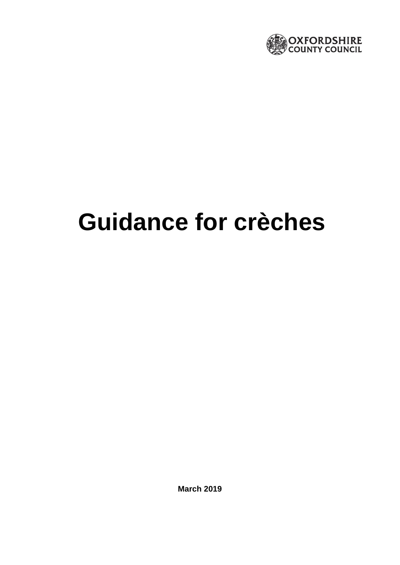

# **Guidance for crèches**

**March 2019**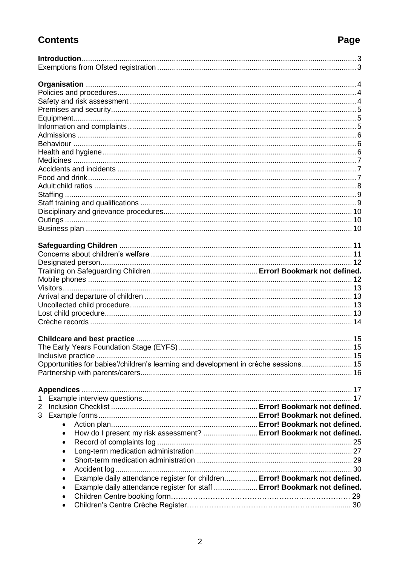# **Contents**

<span id="page-1-0"></span>

| Opportunities for babies'/children's learning and development in crèche sessions 15 |  |
|-------------------------------------------------------------------------------------|--|
|                                                                                     |  |
|                                                                                     |  |
|                                                                                     |  |
|                                                                                     |  |
| 2                                                                                   |  |
| 3                                                                                   |  |
| $\bullet$                                                                           |  |
| How do I present my risk assessment?  Error! Bookmark not defined.<br>$\bullet$     |  |
| $\bullet$                                                                           |  |
| ٠                                                                                   |  |
| $\bullet$                                                                           |  |
|                                                                                     |  |
| Example daily attendance register for children Error! Bookmark not defined.         |  |
| Example daily attendance register for staff  Error! Bookmark not defined.<br>٠      |  |
|                                                                                     |  |
| $\bullet$                                                                           |  |

# Page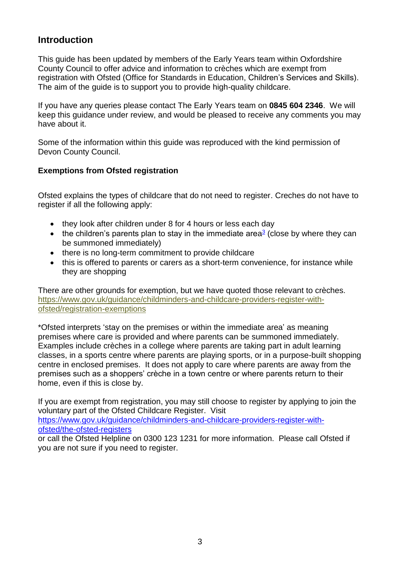# **Introduction**

This guide has been updated by members of the Early Years team within Oxfordshire County Council to offer advice and information to crèches which are exempt from registration with Ofsted (Office for Standards in Education, Children's Services and Skills). The aim of the guide is to support you to provide high-quality childcare.

If you have any queries please contact The Early Years team on **0845 604 2346**. We will keep this guidance under review, and would be pleased to receive any comments you may have about it.

Some of the information within this guide was reproduced with the kind permission of Devon County Council.

## <span id="page-2-0"></span>**Exemptions from Ofsted registration**

Ofsted explains the types of childcare that do not need to register. Creches do not have to register if all the following apply:

- they look after children under 8 for 4 hours or less each day
- the children's parents plan to stay in the immediate area $\frac{3}{2}$  $\frac{3}{2}$  $\frac{3}{2}$  (close by where they can be summoned immediately)
- there is no long-term commitment to provide childcare
- this is offered to parents or carers as a short-term convenience, for instance while they are shopping

There are other grounds for exemption, but we have quoted those relevant to crèches. [https://www.gov.uk/guidance/childminders-and-childcare-providers-register-with](https://www.gov.uk/guidance/childminders-and-childcare-providers-register-with-ofsted/registration-exemptions)[ofsted/registration-exemptions](https://www.gov.uk/guidance/childminders-and-childcare-providers-register-with-ofsted/registration-exemptions)

\*Ofsted interprets 'stay on the premises or within the immediate area' as meaning premises where care is provided and where parents can be summoned immediately. Examples include crèches in a college where parents are taking part in adult learning classes, in a sports centre where parents are playing sports, or in a purpose-built shopping centre in enclosed premises. It does not apply to care where parents are away from the premises such as a shoppers' crèche in a town centre or where parents return to their home, even if this is close by.

If you are exempt from registration, you may still choose to register by applying to join the voluntary part of the Ofsted Childcare Register. Visit [https://www.gov.uk/guidance/childminders-and-childcare-providers-register-with](https://www.gov.uk/guidance/childminders-and-childcare-providers-register-with-ofsted/the-ofsted-registers)[ofsted/the-ofsted-registers](https://www.gov.uk/guidance/childminders-and-childcare-providers-register-with-ofsted/the-ofsted-registers) or call the Ofsted Helpline on 0300 123 1231 for more information. Please call Ofsted if

you are not sure if you need to register.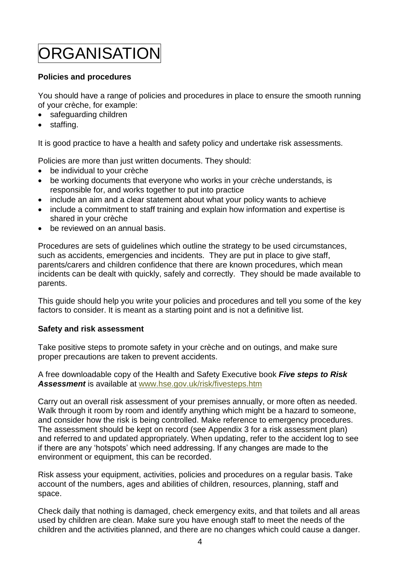# <span id="page-3-0"></span>ORGANISATION

## <span id="page-3-1"></span>**Policies and procedures**

You should have a range of policies and procedures in place to ensure the smooth running of your crèche, for example:

- safeguarding children
- staffing.

It is good practice to have a health and safety policy and undertake risk assessments.

Policies are more than just written documents. They should:

- be individual to your crèche
- be working documents that everyone who works in your crèche understands, is responsible for, and works together to put into practice
- include an aim and a clear statement about what your policy wants to achieve
- include a commitment to staff training and explain how information and expertise is shared in your crèche
- be reviewed on an annual basis.

Procedures are sets of guidelines which outline the strategy to be used circumstances, such as accidents, emergencies and incidents. They are put in place to give staff, parents/carers and children confidence that there are known procedures, which mean incidents can be dealt with quickly, safely and correctly. They should be made available to parents.

This guide should help you write your policies and procedures and tell you some of the key factors to consider. It is meant as a starting point and is not a definitive list.

### <span id="page-3-2"></span>**Safety and risk assessment**

Take positive steps to promote safety in your crèche and on outings, and make sure proper precautions are taken to prevent accidents.

A free downloadable copy of the Health and Safety Executive book *Five steps to Risk Assessment* is available at [www.hse.gov.uk/risk/fivesteps.htm](http://www.hse.gov.uk/risk/fivesteps.htm)

Carry out an overall risk assessment of your premises annually, or more often as needed. Walk through it room by room and identify anything which might be a hazard to someone, and consider how the risk is being controlled. Make reference to emergency procedures. The assessment should be kept on record (see Appendix 3 for a risk assessment plan) and referred to and updated appropriately. When updating, refer to the accident log to see if there are any 'hotspots' which need addressing. If any changes are made to the environment or equipment, this can be recorded.

Risk assess your equipment, activities, policies and procedures on a regular basis. Take account of the numbers, ages and abilities of children, resources, planning, staff and space.

Check daily that nothing is damaged, check emergency exits, and that toilets and all areas used by children are clean. Make sure you have enough staff to meet the needs of the children and the activities planned, and there are no changes which could cause a danger.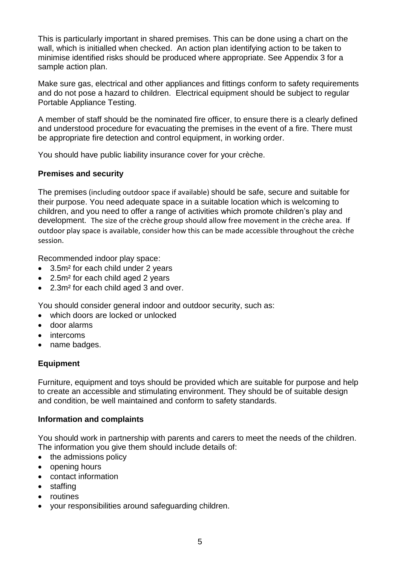This is particularly important in shared premises. This can be done using a chart on the wall, which is initialled when checked. An action plan identifying action to be taken to minimise identified risks should be produced where appropriate. See Appendix 3 for a sample action plan.

Make sure gas, electrical and other appliances and fittings conform to safety requirements and do not pose a hazard to children. Electrical equipment should be subject to regular Portable Appliance Testing.

A member of staff should be the nominated fire officer, to ensure there is a clearly defined and understood procedure for evacuating the premises in the event of a fire. There must be appropriate fire detection and control equipment, in working order.

You should have public liability insurance cover for your crèche.

# <span id="page-4-0"></span>**Premises and security**

The premises (including outdoor space if available) should be safe, secure and suitable for their purpose. You need adequate space in a suitable location which is welcoming to children, and you need to offer a range of activities which promote children's play and development. The size of the crèche group should allow free movement in the crèche area. If outdoor play space is available, consider how this can be made accessible throughout the crèche session.

Recommended indoor play space:

- 3.5m<sup>2</sup> for each child under 2 years
- 2.5m<sup>2</sup> for each child aged 2 years
- 2.3m² for each child aged 3 and over.

You should consider general indoor and outdoor security, such as:

- which doors are locked or unlocked
- door alarms
- intercoms
- <span id="page-4-1"></span>• name badges.

# **Equipment**

Furniture, equipment and toys should be provided which are suitable for purpose and help to create an accessible and stimulating environment. They should be of suitable design and condition, be well maintained and conform to safety standards.

# <span id="page-4-2"></span>**Information and complaints**

You should work in partnership with parents and carers to meet the needs of the children. The information you give them should include details of:

- the admissions policy
- opening hours
- contact information
- staffing
- routines
- your responsibilities around safeguarding children.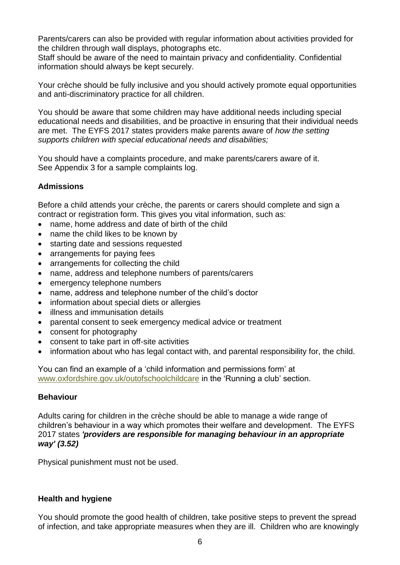Parents/carers can also be provided with regular information about activities provided for the children through wall displays, photographs etc.

Staff should be aware of the need to maintain privacy and confidentiality. Confidential information should always be kept securely.

Your crèche should be fully inclusive and you should actively promote equal opportunities and anti-discriminatory practice for all children.

You should be aware that some children may have additional needs including special educational needs and disabilities, and be proactive in ensuring that their individual needs are met. The EYFS 2017 states providers make parents aware of *how the setting supports children with special educational needs and disabilities;*

You should have a complaints procedure, and make parents/carers aware of it. See Appendix 3 for a sample complaints log.

# <span id="page-5-0"></span>**Admissions**

Before a child attends your crèche, the parents or carers should complete and sign a contract or registration form. This gives you vital information, such as:

- name, home address and date of birth of the child
- name the child likes to be known by
- starting date and sessions requested
- arrangements for paying fees
- arrangements for collecting the child
- name, address and telephone numbers of parents/carers
- emergency telephone numbers
- name, address and telephone number of the child's doctor
- information about special diets or allergies
- illness and immunisation details
- parental consent to seek emergency medical advice or treatment
- consent for photography
- consent to take part in off-site activities
- information about who has legal contact with, and parental responsibility for, the child.

You can find an example of a 'child information and permissions form' at [www.oxfordshire.gov.uk/outofschoolchildcare](http://www.oxfordshire.gov.uk/outofschoolchildcare) in the 'Running a club' section.

### <span id="page-5-1"></span>**Behaviour**

Adults caring for children in the crèche should be able to manage a wide range of children's behaviour in a way which promotes their welfare and development. The EYFS 2017 states *'providers are responsible for managing behaviour in an appropriate way' (3.52)*

Physical punishment must not be used.

### <span id="page-5-2"></span>**Health and hygiene**

You should promote the good health of children, take positive steps to prevent the spread of infection, and take appropriate measures when they are ill. Children who are knowingly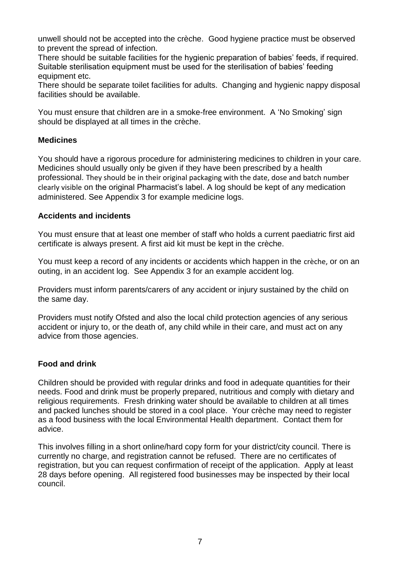unwell should not be accepted into the crèche. Good hygiene practice must be observed to prevent the spread of infection.

There should be suitable facilities for the hygienic preparation of babies' feeds, if required. Suitable sterilisation equipment must be used for the sterilisation of babies' feeding equipment etc.

There should be separate toilet facilities for adults. Changing and hygienic nappy disposal facilities should be available.

You must ensure that children are in a smoke-free environment. A 'No Smoking' sign should be displayed at all times in the crèche.

### <span id="page-6-0"></span>**Medicines**

You should have a rigorous procedure for administering medicines to children in your care. Medicines should usually only be given if they have been prescribed by a health professional. They should be in their original packaging with the date, dose and batch number clearly visible on the original Pharmacist's label. A log should be kept of any medication administered. See Appendix 3 for example medicine logs.

## <span id="page-6-1"></span>**Accidents and incidents**

You must ensure that at least one member of staff who holds a current paediatric first aid certificate is always present. A first aid kit must be kept in the crèche.

You must keep a record of any incidents or accidents which happen in the crèche, or on an outing, in an accident log. See Appendix 3 for an example accident log.

Providers must inform parents/carers of any accident or injury sustained by the child on the same day.

Providers must notify Ofsted and also the local child protection agencies of any serious accident or injury to, or the death of, any child while in their care, and must act on any advice from those agencies.

# <span id="page-6-2"></span>**Food and drink**

Children should be provided with regular drinks and food in adequate quantities for their needs. Food and drink must be properly prepared, nutritious and comply with dietary and religious requirements. Fresh drinking water should be available to children at all times and packed lunches should be stored in a cool place. Your crèche may need to register as a food business with the local Environmental Health department. Contact them for advice.

This involves filling in a short online/hard copy form for your district/city council. There is currently no charge, and registration cannot be refused. There are no certificates of registration, but you can request confirmation of receipt of the application. Apply at least 28 days before opening. All registered food businesses may be inspected by their local council.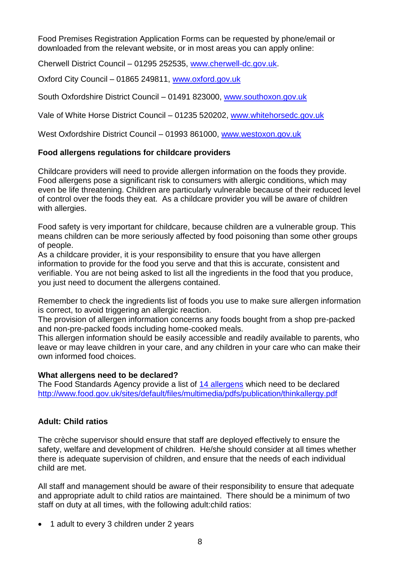Food Premises Registration Application Forms can be requested by phone/email or downloaded from the relevant website, or in most areas you can apply online:

Cherwell District Council – 01295 252535, [www.cherwell-dc.gov.uk.](http://www.cherwell-dc.gov.uk/)

Oxford City Council – 01865 249811, [www.oxford.gov.uk](http://www.oxford.gov.uk/)

South Oxfordshire District Council – 01491 823000, [www.southoxon.gov.uk](http://www.southoxon.gov.uk/)

Vale of White Horse District Council – 01235 520202, [www.whitehorsedc.gov.uk](http://www.whitehorsedc.gov.uk/)

West Oxfordshire District Council – 01993 861000, [www.westoxon.gov.uk](http://www.westoxon.gov.uk/)

## **Food allergens regulations for childcare providers**

Childcare providers will need to provide allergen information on the foods they provide. Food allergens pose a significant risk to consumers with allergic conditions, which may even be life threatening. Children are particularly vulnerable because of their reduced level of control over the foods they eat. As a childcare provider you will be aware of children with allergies.

Food safety is very important for childcare, because children are a vulnerable group. This means children can be more seriously affected by food poisoning than some other groups of people.

As a childcare provider, it is your responsibility to ensure that you have allergen information to provide for the food you serve and that this is accurate, consistent and verifiable. You are not being asked to list all the ingredients in the food that you produce, you just need to document the allergens contained.

Remember to check the ingredients list of foods you use to make sure allergen information is correct, to avoid triggering an allergic reaction.

The provision of allergen information concerns any foods bought from a shop pre-packed and non-pre-packed foods including home-cooked meals.

This allergen information should be easily accessible and readily available to parents, who leave or may leave children in your care, and any children in your care who can make their own informed food choices.

### **What allergens need to be declared?**

The Food Standards Agency provide a list of [14 allergens](http://allergytraining.food.gov.uk/english/food-allergy-facts.aspx) which need to be declared <http://www.food.gov.uk/sites/default/files/multimedia/pdfs/publication/thinkallergy.pdf>

# <span id="page-7-0"></span>**Adult: Child ratios**

The crèche supervisor should ensure that staff are deployed effectively to ensure the safety, welfare and development of children. He/she should consider at all times whether there is adequate supervision of children, and ensure that the needs of each individual child are met.

All staff and management should be aware of their responsibility to ensure that adequate and appropriate adult to child ratios are maintained. There should be a minimum of two staff on duty at all times, with the following adult:child ratios:

• 1 adult to every 3 children under 2 years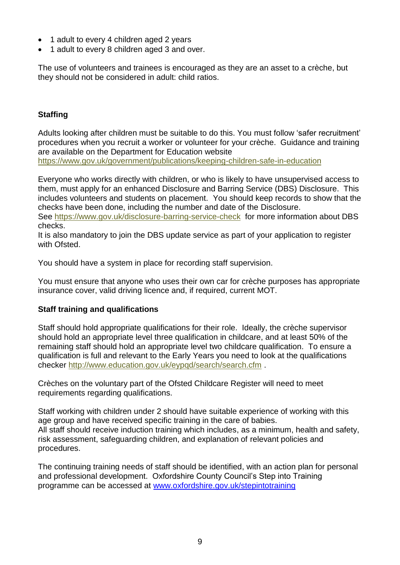- 1 adult to every 4 children aged 2 years
- 1 adult to every 8 children aged 3 and over.

<span id="page-8-0"></span>The use of volunteers and trainees is encouraged as they are an asset to a crèche, but they should not be considered in adult: child ratios.

# **Staffing**

Adults looking after children must be suitable to do this. You must follow 'safer recruitment' procedures when you recruit a worker or volunteer for your crèche. Guidance and training are available on the Department for Education website <https://www.gov.uk/government/publications/keeping-children-safe-in-education>

Everyone who works directly with children, or who is likely to have unsupervised access to them, must apply for an enhanced Disclosure and Barring Service (DBS) Disclosure. This includes volunteers and students on placement. You should keep records to show that the checks have been done, including the number and date of the Disclosure.

See<https://www.gov.uk/disclosure-barring-service-check> for more information about DBS checks.

It is also mandatory to join the DBS update service as part of your application to register with Ofsted.

You should have a system in place for recording staff supervision.

You must ensure that anyone who uses their own car for crèche purposes has appropriate insurance cover, valid driving licence and, if required, current MOT.

### <span id="page-8-1"></span>**Staff training and qualifications**

Staff should hold appropriate qualifications for their role. Ideally, the crèche supervisor should hold an appropriate level three qualification in childcare, and at least 50% of the remaining staff should hold an appropriate level two childcare qualification. To ensure a qualification is full and relevant to the Early Years you need to look at the qualifications checker<http://www.education.gov.uk/eypqd/search/search.cfm> .

Crèches on the voluntary part of the Ofsted Childcare Register will need to meet requirements regarding qualifications.

Staff working with children under 2 should have suitable experience of working with this age group and have received specific training in the care of babies. All staff should receive induction training which includes, as a minimum, health and safety, risk assessment, safeguarding children, and explanation of relevant policies and procedures.

<span id="page-8-2"></span>The continuing training needs of staff should be identified, with an action plan for personal and professional development. Oxfordshire County Council's Step into Training programme can be accessed at [www.oxfordshire.gov.uk/stepintotraining](http://www.oxfordshire.gov.uk/stepintotraining)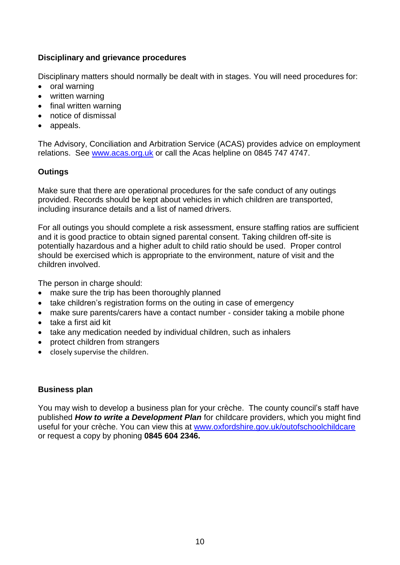# **Disciplinary and grievance procedures**

Disciplinary matters should normally be dealt with in stages. You will need procedures for:

- oral warning
- written warning
- final written warning
- notice of dismissal
- appeals.

The Advisory, Conciliation and Arbitration Service (ACAS) provides advice on employment relations. See [www.acas.org.uk](http://www.acas.org.uk/) or call the Acas helpline on 0845 747 4747.

# <span id="page-9-0"></span>**Outings**

Make sure that there are operational procedures for the safe conduct of any outings provided. Records should be kept about vehicles in which children are transported, including insurance details and a list of named drivers.

For all outings you should complete a risk assessment, ensure staffing ratios are sufficient and it is good practice to obtain signed parental consent. Taking children off-site is potentially hazardous and a higher adult to child ratio should be used. Proper control should be exercised which is appropriate to the environment, nature of visit and the children involved.

The person in charge should:

- make sure the trip has been thoroughly planned
- take children's registration forms on the outing in case of emergency
- make sure parents/carers have a contact number consider taking a mobile phone
- take a first aid kit
- take any medication needed by individual children, such as inhalers
- protect children from strangers
- <span id="page-9-1"></span>• closely supervise the children.

### **Business plan**

You may wish to develop a business plan for your crèche. The county council's staff have published *How to write a Development Plan* for childcare providers, which you might find useful for your crèche. You can view this at [www.oxfordshire.gov.uk/outofschoolchildcare](http://www.oxfordshire.gov.uk/outofschoolchildcare) or request a copy by phoning **0845 604 2346.**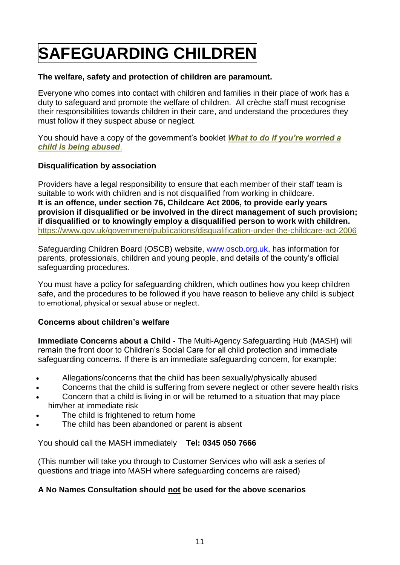# <span id="page-10-0"></span>**SAFEGUARDING CHILDREN**

## **The welfare, safety and protection of children are paramount.**

Everyone who comes into contact with children and families in their place of work has a duty to safeguard and promote the welfare of children. All crèche staff must recognise their responsibilities towards children in their care, and understand the procedures they must follow if they suspect abuse or neglect.

You should have a copy of the government's booklet *[What to do if you're worried a](https://www.gov.uk/government/publications/what-to-do-if-youre-worried-a-child-is-being-abused--2)  [child is being abused](https://www.gov.uk/government/publications/what-to-do-if-youre-worried-a-child-is-being-abused--2)*.

## **Disqualification by association**

Providers have a legal responsibility to ensure that each member of their staff team is suitable to work with children and is not disqualified from working in childcare. **It is an offence, under section 76, Childcare Act 2006, to provide early years provision if disqualified or be involved in the direct management of such provision; if disqualified or to knowingly employ a disqualified person to work with children.**  <https://www.gov.uk/government/publications/disqualification-under-the-childcare-act-2006>

Safeguarding Children Board (OSCB) website, [www.oscb.org.uk,](http://www.oscb.org.uk/) has information for parents, professionals, children and young people, and details of the county's official safeguarding procedures.

You must have a policy for safeguarding children, which outlines how you keep children safe, and the procedures to be followed if you have reason to believe any child is subject to emotional, physical or sexual abuse or neglect.

# <span id="page-10-1"></span>**Concerns about children's welfare**

**Immediate Concerns about a Child -** The Multi-Agency Safeguarding Hub (MASH) will remain the front door to Children's Social Care for all child protection and immediate safeguarding concerns. If there is an immediate safeguarding concern, for example:

- Allegations/concerns that the child has been sexually/physically abused
- Concerns that the child is suffering from severe neglect or other severe health risks
- Concern that a child is living in or will be returned to a situation that may place him/her at immediate risk
- The child is frightened to return home
- The child has been abandoned or parent is absent

You should call the MASH immediately **Tel: 0345 050 7666**

(This number will take you through to Customer Services who will ask a series of questions and triage into MASH where safeguarding concerns are raised)

# **A No Names Consultation should not be used for the above scenarios**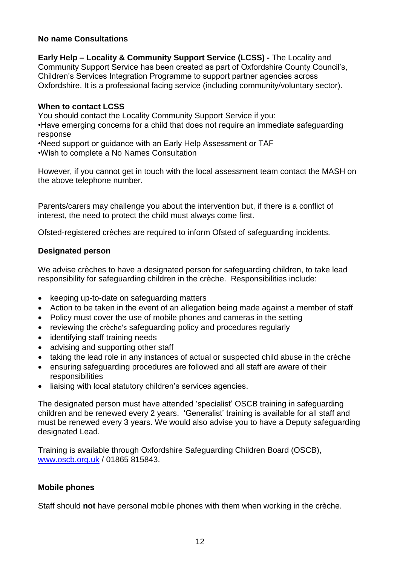### **No name Consultations**

**Early Help – Locality & Community Support Service (LCSS) -** The Locality and Community Support Service has been created as part of Oxfordshire County Council's, Children's Services Integration Programme to support partner agencies across Oxfordshire. It is a professional facing service (including community/voluntary sector).

### **When to contact LCSS**

You should contact the Locality Community Support Service if you:

•Have emerging concerns for a child that does not require an immediate safeguarding response

•Need support or guidance with an Early Help Assessment or TAF

•Wish to complete a No Names Consultation

However, if you cannot get in touch with the local assessment team contact the MASH on the above telephone number.

Parents/carers may challenge you about the intervention but, if there is a conflict of interest, the need to protect the child must always come first.

<span id="page-11-0"></span>Ofsted-registered crèches are required to inform Ofsted of safeguarding incidents.

## **Designated person**

We advise crèches to have a designated person for safeguarding children, to take lead responsibility for safeguarding children in the crèche. Responsibilities include:

- keeping up-to-date on safeguarding matters
- Action to be taken in the event of an allegation being made against a member of staff
- Policy must cover the use of mobile phones and cameras in the setting
- reviewing the crèche's safeguarding policy and procedures regularly
- identifying staff training needs
- advising and supporting other staff
- taking the lead role in any instances of actual or suspected child abuse in the crèche
- ensuring safeguarding procedures are followed and all staff are aware of their responsibilities
- liaising with local statutory children's services agencies.

The designated person must have attended 'specialist' OSCB training in safeguarding children and be renewed every 2 years. 'Generalist' training is available for all staff and must be renewed every 3 years. We would also advise you to have a Deputy safeguarding designated Lead.

Training is available through Oxfordshire Safeguarding Children Board (OSCB), [www.oscb.org.uk](http://www.oscb.org.uk/) / 01865 815843.

# <span id="page-11-1"></span>**Mobile phones**

Staff should **not** have personal mobile phones with them when working in the crèche.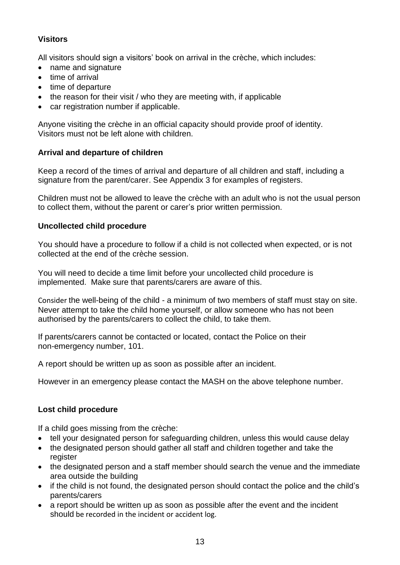# <span id="page-12-0"></span>**Visitors**

All visitors should sign a visitors' book on arrival in the crèche, which includes:

- name and signature
- time of arrival
- time of departure
- the reason for their visit / who they are meeting with, if applicable
- car registration number if applicable.

Anyone visiting the crèche in an official capacity should provide proof of identity. Visitors must not be left alone with children.

# <span id="page-12-1"></span>**Arrival and departure of children**

Keep a record of the times of arrival and departure of all children and staff, including a signature from the parent/carer. See Appendix 3 for examples of registers.

Children must not be allowed to leave the crèche with an adult who is not the usual person to collect them, without the parent or carer's prior written permission.

# <span id="page-12-2"></span>**Uncollected child procedure**

You should have a procedure to follow if a child is not collected when expected, or is not collected at the end of the crèche session.

You will need to decide a time limit before your uncollected child procedure is implemented. Make sure that parents/carers are aware of this.

Consider the well-being of the child - a minimum of two members of staff must stay on site. Never attempt to take the child home yourself, or allow someone who has not been authorised by the parents/carers to collect the child, to take them.

If parents/carers cannot be contacted or located, contact the Police on their non-emergency number, 101.

A report should be written up as soon as possible after an incident.

However in an emergency please contact the MASH on the above telephone number.

# <span id="page-12-3"></span>**Lost child procedure**

If a child goes missing from the crèche:

- tell your designated person for safeguarding children, unless this would cause delay
- the designated person should gather all staff and children together and take the register
- the designated person and a staff member should search the venue and the immediate area outside the building
- if the child is not found, the designated person should contact the police and the child's parents/carers
- a report should be written up as soon as possible after the event and the incident should be recorded in the incident or accident log.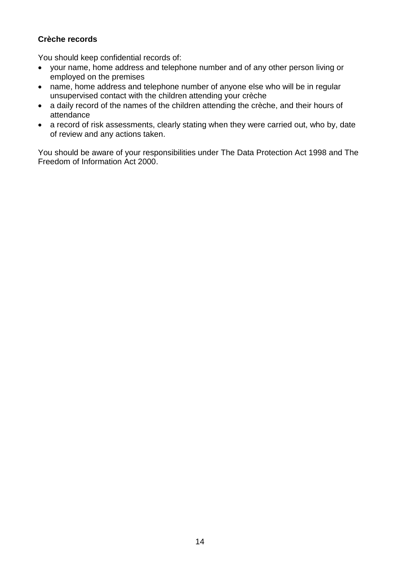# <span id="page-13-0"></span>**Crèche records**

You should keep confidential records of:

- your name, home address and telephone number and of any other person living or employed on the premises
- name, home address and telephone number of anyone else who will be in regular unsupervised contact with the children attending your crèche
- a daily record of the names of the children attending the crèche, and their hours of attendance
- a record of risk assessments, clearly stating when they were carried out, who by, date of review and any actions taken.

You should be aware of your responsibilities under The Data Protection Act 1998 and The Freedom of Information Act 2000.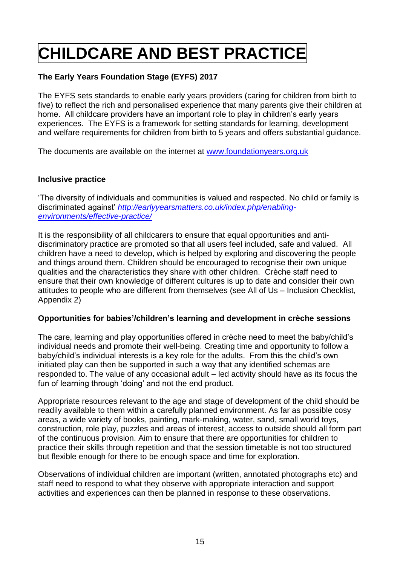# <span id="page-14-0"></span>**CHILDCARE AND BEST PRACTICE**

# <span id="page-14-1"></span>**The Early Years Foundation Stage (EYFS) 2017**

The EYFS sets standards to enable early years providers (caring for children from birth to five) to reflect the rich and personalised experience that many parents give their children at home. All childcare providers have an important role to play in children's early years experiences. The EYFS is a framework for setting standards for learning, development and welfare requirements for children from birth to 5 years and offers substantial guidance.

The documents are available on the internet at [www.foundationyears.org.uk](http://www.foundationyears.org.uk/)

### <span id="page-14-2"></span>**Inclusive practice**

'The diversity of individuals and communities is valued and respected. No child or family is discriminated against' *[http://earlyyearsmatters.co.uk/index.php/enabling](http://earlyyearsmatters.co.uk/index.php/enabling-environments/effective-practice/)[environments/effective-practice/](http://earlyyearsmatters.co.uk/index.php/enabling-environments/effective-practice/)*

It is the responsibility of all childcarers to ensure that equal opportunities and antidiscriminatory practice are promoted so that all users feel included, safe and valued. All children have a need to develop, which is helped by exploring and discovering the people and things around them. Children should be encouraged to recognise their own unique qualities and the characteristics they share with other children. Crèche staff need to ensure that their own knowledge of different cultures is up to date and consider their own attitudes to people who are different from themselves (see All of Us – Inclusion Checklist, Appendix 2)

### <span id="page-14-3"></span>**Opportunities for babies'/children's learning and development in crèche sessions**

The care, learning and play opportunities offered in crèche need to meet the baby/child's individual needs and promote their well-being. Creating time and opportunity to follow a baby/child's individual interests is a key role for the adults. From this the child's own initiated play can then be supported in such a way that any identified schemas are responded to. The value of any occasional adult – led activity should have as its focus the fun of learning through 'doing' and not the end product.

Appropriate resources relevant to the age and stage of development of the child should be readily available to them within a carefully planned environment. As far as possible cosy areas, a wide variety of books, painting, mark-making, water, sand, small world toys, construction, role play, puzzles and areas of interest, access to outside should all form part of the continuous provision. Aim to ensure that there are opportunities for children to practice their skills through repetition and that the session timetable is not too structured but flexible enough for there to be enough space and time for exploration.

Observations of individual children are important (written, annotated photographs etc) and staff need to respond to what they observe with appropriate interaction and support activities and experiences can then be planned in response to these observations.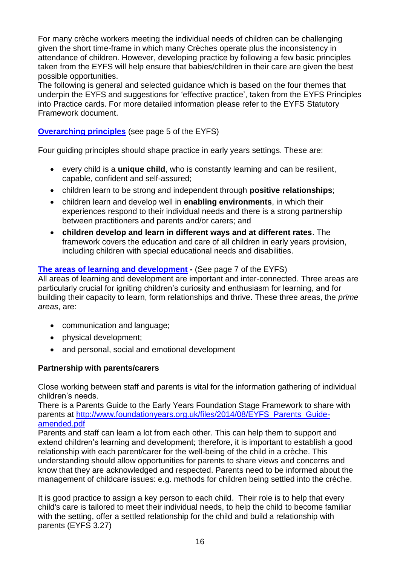For many crèche workers meeting the individual needs of children can be challenging given the short time-frame in which many Crèches operate plus the inconsistency in attendance of children. However, developing practice by following a few basic principles taken from the EYFS will help ensure that babies/children in their care are given the best possible opportunities.

The following is general and selected guidance which is based on the four themes that underpin the EYFS and suggestions for 'effective practice', taken from the EYFS Principles into Practice cards. For more detailed information please refer to the EYFS Statutory Framework document.

# **[Overarching principles](http://www.foundationyears.org.uk/wp-content/uploads/2012/07/EYFS-Statutory-Framework-2012.pdf)** (see page 5 of the EYFS)

Four guiding principles should shape practice in early years settings. These are:

- every child is a **unique child**, who is constantly learning and can be resilient, capable, confident and self-assured;
- children learn to be strong and independent through **positive relationships**;
- children learn and develop well in **enabling environments**, in which their experiences respond to their individual needs and there is a strong partnership between practitioners and parents and/or carers; and
- **children develop and learn in different ways and at different rates**. The framework covers the education and care of all children in early years provision, including children with special educational needs and disabilities.

## **[The areas of learning](http://www.foundationyears.org.uk/wp-content/uploads/2012/07/EYFS-Statutory-Framework-2012.pdf) and development -** (See page 7 of the EYFS)

All areas of learning and development are important and inter-connected. Three areas are particularly crucial for igniting children's curiosity and enthusiasm for learning, and for building their capacity to learn, form relationships and thrive. These three areas, the *prime areas*, are:

- communication and language;
- physical development;
- and personal, social and emotional development

# <span id="page-15-0"></span>**Partnership with parents/carers**

Close working between staff and parents is vital for the information gathering of individual children's needs.

There is a Parents Guide to the Early Years Foundation Stage Framework to share with parents at [http://www.foundationyears.org.uk/files/2014/08/EYFS\\_Parents\\_Guide](http://www.foundationyears.org.uk/files/2014/08/EYFS_Parents_Guide-amended.pdf)[amended.pdf](http://www.foundationyears.org.uk/files/2014/08/EYFS_Parents_Guide-amended.pdf)

Parents and staff can learn a lot from each other. This can help them to support and extend children's learning and development; therefore, it is important to establish a good relationship with each parent/carer for the well-being of the child in a crèche. This understanding should allow opportunities for parents to share views and concerns and know that they are acknowledged and respected. Parents need to be informed about the management of childcare issues: e.g. methods for children being settled into the crèche.

It is good practice to assign a key person to each child. Their role is to help that every child's care is tailored to meet their individual needs, to help the child to become familiar with the setting, offer a settled relationship for the child and build a relationship with parents (EYFS 3.27)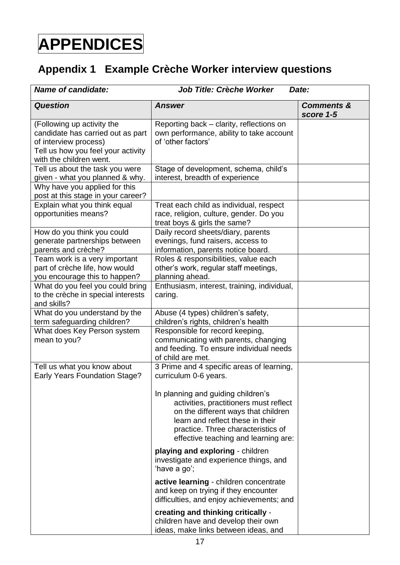# <span id="page-16-0"></span>**APPENDICES**

# <span id="page-16-1"></span>**Appendix 1 Example Crèche Worker interview questions**

| <b>Name of candidate:</b>                                                                                                                                 | <b>Job Title: Crèche Worker</b>                                                                                                                                                                                                       | Date:                              |
|-----------------------------------------------------------------------------------------------------------------------------------------------------------|---------------------------------------------------------------------------------------------------------------------------------------------------------------------------------------------------------------------------------------|------------------------------------|
| <b>Question</b>                                                                                                                                           | <b>Answer</b>                                                                                                                                                                                                                         | <b>Comments &amp;</b><br>score 1-5 |
| (Following up activity the<br>candidate has carried out as part<br>of interview process)<br>Tell us how you feel your activity<br>with the children went. | Reporting back – clarity, reflections on<br>own performance, ability to take account<br>of 'other factors'                                                                                                                            |                                    |
| Tell us about the task you were<br>given - what you planned & why.                                                                                        | Stage of development, schema, child's<br>interest, breadth of experience                                                                                                                                                              |                                    |
| Why have you applied for this<br>post at this stage in your career?                                                                                       |                                                                                                                                                                                                                                       |                                    |
| Explain what you think equal<br>opportunities means?                                                                                                      | Treat each child as individual, respect<br>race, religion, culture, gender. Do you<br>treat boys & girls the same?                                                                                                                    |                                    |
| How do you think you could<br>generate partnerships between<br>parents and crèche?                                                                        | Daily record sheets/diary, parents<br>evenings, fund raisers, access to<br>information, parents notice board.                                                                                                                         |                                    |
| Team work is a very important<br>part of crèche life, how would<br>you encourage this to happen?                                                          | Roles & responsibilities, value each<br>other's work, regular staff meetings,<br>planning ahead.                                                                                                                                      |                                    |
| What do you feel you could bring<br>to the crèche in special interests<br>and skills?                                                                     | Enthusiasm, interest, training, individual,<br>caring.                                                                                                                                                                                |                                    |
| What do you understand by the<br>term safeguarding children?                                                                                              | Abuse (4 types) children's safety,<br>children's rights, children's health                                                                                                                                                            |                                    |
| What does Key Person system<br>mean to you?                                                                                                               | Responsible for record keeping,<br>communicating with parents, changing<br>and feeding. To ensure individual needs<br>of child are met.                                                                                               |                                    |
| Tell us what you know about<br><b>Early Years Foundation Stage?</b>                                                                                       | 3 Prime and 4 specific areas of learning,<br>curriculum 0-6 years.                                                                                                                                                                    |                                    |
|                                                                                                                                                           | In planning and guiding children's<br>activities, practitioners must reflect<br>on the different ways that children<br>learn and reflect these in their<br>practice. Three characteristics of<br>effective teaching and learning are: |                                    |
|                                                                                                                                                           | playing and exploring - children<br>investigate and experience things, and<br>'have a go';                                                                                                                                            |                                    |
|                                                                                                                                                           | active learning - children concentrate<br>and keep on trying if they encounter<br>difficulties, and enjoy achievements; and                                                                                                           |                                    |
|                                                                                                                                                           | creating and thinking critically -<br>children have and develop their own<br>ideas, make links between ideas, and                                                                                                                     |                                    |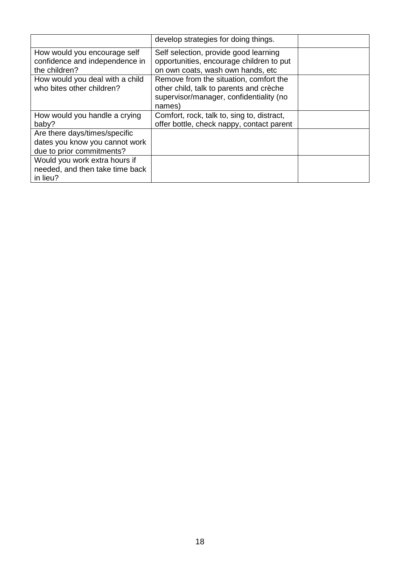|                                                                                              | develop strategies for doing things.                                                                                                   |  |
|----------------------------------------------------------------------------------------------|----------------------------------------------------------------------------------------------------------------------------------------|--|
| How would you encourage self<br>confidence and independence in<br>the children?              | Self selection, provide good learning<br>opportunities, encourage children to put<br>on own coats, wash own hands, etc                 |  |
| How would you deal with a child<br>who bites other children?                                 | Remove from the situation, comfort the<br>other child, talk to parents and crèche<br>supervisor/manager, confidentiality (no<br>names) |  |
| How would you handle a crying<br>baby?                                                       | Comfort, rock, talk to, sing to, distract,<br>offer bottle, check nappy, contact parent                                                |  |
| Are there days/times/specific<br>dates you know you cannot work<br>due to prior commitments? |                                                                                                                                        |  |
| Would you work extra hours if<br>needed, and then take time back<br>in lieu?                 |                                                                                                                                        |  |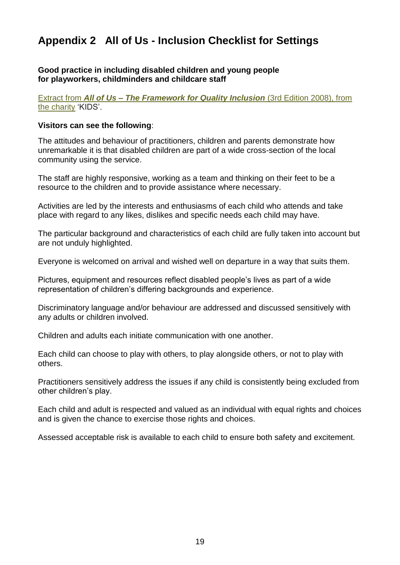# **Appendix 2 All of Us - Inclusion Checklist for Settings**

#### **Good practice in including disabled children and young people for playworkers, childminders and childcare staff**

Extract from *All of Us – [The Framework for Quality Inclusion](https://www.google.co.uk/url?sa=t&rct=j&q=&esrc=s&source=web&cd=1&ved=0ahUKEwj5xMTH_rLTAhVLKVAKHTRPBO0QFggnMAA&url=https%3A%2F%2Fwww.westsussex.gov.uk%2Fmedia%2F2640%2Fframework_for_quality_inclusion_2008.pdf&usg=AFQjCNGGbE52K05wwve1n2Jr1j7-6y9ujg)* (3rd Edition 2008), from [the charity](https://www.google.co.uk/url?sa=t&rct=j&q=&esrc=s&source=web&cd=1&ved=0ahUKEwj5xMTH_rLTAhVLKVAKHTRPBO0QFggnMAA&url=https%3A%2F%2Fwww.westsussex.gov.uk%2Fmedia%2F2640%2Fframework_for_quality_inclusion_2008.pdf&usg=AFQjCNGGbE52K05wwve1n2Jr1j7-6y9ujg) 'KIDS'.

#### **Visitors can see the following**:

The attitudes and behaviour of practitioners, children and parents demonstrate how unremarkable it is that disabled children are part of a wide cross-section of the local community using the service.

The staff are highly responsive, working as a team and thinking on their feet to be a resource to the children and to provide assistance where necessary.

Activities are led by the interests and enthusiasms of each child who attends and take place with regard to any likes, dislikes and specific needs each child may have.

The particular background and characteristics of each child are fully taken into account but are not unduly highlighted.

Everyone is welcomed on arrival and wished well on departure in a way that suits them.

Pictures, equipment and resources reflect disabled people's lives as part of a wide representation of children's differing backgrounds and experience.

Discriminatory language and/or behaviour are addressed and discussed sensitively with any adults or children involved.

Children and adults each initiate communication with one another.

Each child can choose to play with others, to play alongside others, or not to play with others.

Practitioners sensitively address the issues if any child is consistently being excluded from other children's play.

Each child and adult is respected and valued as an individual with equal rights and choices and is given the chance to exercise those rights and choices.

Assessed acceptable risk is available to each child to ensure both safety and excitement.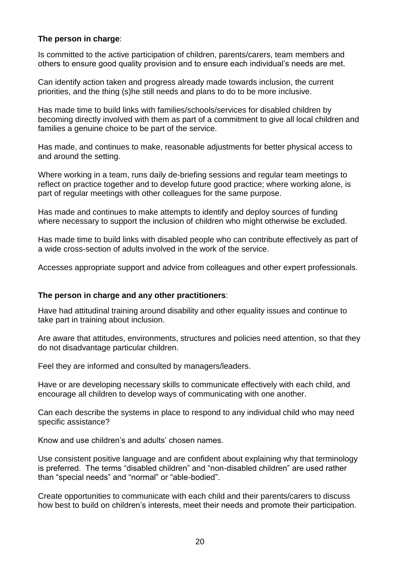### **The person in charge**:

Is committed to the active participation of children, parents/carers, team members and others to ensure good quality provision and to ensure each individual's needs are met.

Can identify action taken and progress already made towards inclusion, the current priorities, and the thing (s)he still needs and plans to do to be more inclusive.

Has made time to build links with families/schools/services for disabled children by becoming directly involved with them as part of a commitment to give all local children and families a genuine choice to be part of the service.

Has made, and continues to make, reasonable adjustments for better physical access to and around the setting.

Where working in a team, runs daily de-briefing sessions and regular team meetings to reflect on practice together and to develop future good practice; where working alone, is part of regular meetings with other colleagues for the same purpose.

Has made and continues to make attempts to identify and deploy sources of funding where necessary to support the inclusion of children who might otherwise be excluded.

Has made time to build links with disabled people who can contribute effectively as part of a wide cross-section of adults involved in the work of the service.

Accesses appropriate support and advice from colleagues and other expert professionals.

### **The person in charge and any other practitioners**:

Have had attitudinal training around disability and other equality issues and continue to take part in training about inclusion.

Are aware that attitudes, environments, structures and policies need attention, so that they do not disadvantage particular children.

Feel they are informed and consulted by managers/leaders.

Have or are developing necessary skills to communicate effectively with each child, and encourage all children to develop ways of communicating with one another.

Can each describe the systems in place to respond to any individual child who may need specific assistance?

Know and use children's and adults' chosen names.

Use consistent positive language and are confident about explaining why that terminology is preferred. The terms "disabled children" and "non-disabled children" are used rather than "special needs" and "normal" or "able-bodied".

Create opportunities to communicate with each child and their parents/carers to discuss how best to build on children's interests, meet their needs and promote their participation.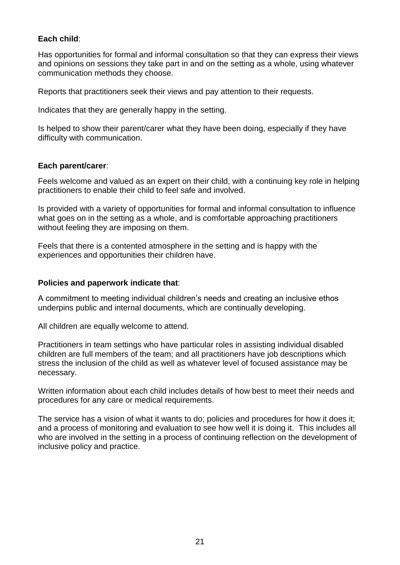## **Each child**:

Has opportunities for formal and informal consultation so that they can express their views and opinions on sessions they take part in and on the setting as a whole, using whatever communication methods they choose.

Reports that practitioners seek their views and pay attention to their requests.

Indicates that they are generally happy in the setting.

Is helped to show their parent/carer what they have been doing, especially if they have difficulty with communication.

### **Each parent/carer**:

Feels welcome and valued as an expert on their child, with a continuing key role in helping practitioners to enable their child to feel safe and involved.

Is provided with a variety of opportunities for formal and informal consultation to influence what goes on in the setting as a whole, and is comfortable approaching practitioners without feeling they are imposing on them.

Feels that there is a contented atmosphere in the setting and is happy with the experiences and opportunities their children have.

#### **Policies and paperwork indicate that**:

A commitment to meeting individual children's needs and creating an inclusive ethos underpins public and internal documents, which are continually developing.

All children are equally welcome to attend.

Practitioners in team settings who have particular roles in assisting individual disabled children are full members of the team; and all practitioners have job descriptions which stress the inclusion of the child as well as whatever level of focused assistance may be necessary.

Written information about each child includes details of how best to meet their needs and procedures for any care or medical requirements.

The service has a vision of what it wants to do; policies and procedures for how it does it; and a process of monitoring and evaluation to see how well it is doing it. This includes all who are involved in the setting in a process of continuing reflection on the development of inclusive policy and practice.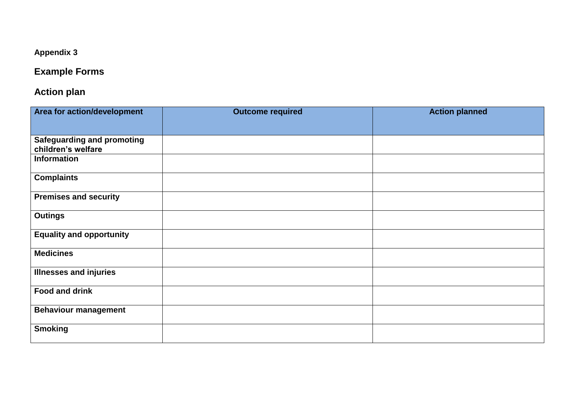# **Appendix 3**

# **Example Forms**

# **Action plan**

| Area for action/development       | <b>Outcome required</b> | <b>Action planned</b> |
|-----------------------------------|-------------------------|-----------------------|
|                                   |                         |                       |
| <b>Safeguarding and promoting</b> |                         |                       |
| children's welfare                |                         |                       |
| <b>Information</b>                |                         |                       |
| <b>Complaints</b>                 |                         |                       |
| <b>Premises and security</b>      |                         |                       |
| <b>Outings</b>                    |                         |                       |
| <b>Equality and opportunity</b>   |                         |                       |
| <b>Medicines</b>                  |                         |                       |
| <b>Illnesses and injuries</b>     |                         |                       |
| <b>Food and drink</b>             |                         |                       |
| <b>Behaviour management</b>       |                         |                       |
| <b>Smoking</b>                    |                         |                       |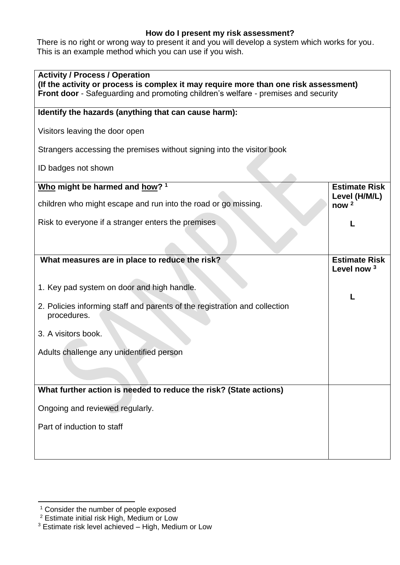# **How do I present my risk assessment?**

There is no right or wrong way to present it and you will develop a system which works for you. This is an example method which you can use if you wish.

| <b>Activity / Process / Operation</b><br>(If the activity or process is complex it may require more than one risk assessment)<br>Front door - Safeguarding and promoting children's welfare - premises and security |                                                |
|---------------------------------------------------------------------------------------------------------------------------------------------------------------------------------------------------------------------|------------------------------------------------|
| Identify the hazards (anything that can cause harm):                                                                                                                                                                |                                                |
| Visitors leaving the door open                                                                                                                                                                                      |                                                |
| Strangers accessing the premises without signing into the visitor book                                                                                                                                              |                                                |
| ID badges not shown                                                                                                                                                                                                 |                                                |
| Who might be harmed and how? 1                                                                                                                                                                                      | <b>Estimate Risk</b><br>Level (H/M/L)          |
| children who might escape and run into the road or go missing.                                                                                                                                                      | now <sup>2</sup>                               |
| Risk to everyone if a stranger enters the premises                                                                                                                                                                  |                                                |
|                                                                                                                                                                                                                     |                                                |
| What measures are in place to reduce the risk?                                                                                                                                                                      | <b>Estimate Risk</b><br>Level now <sup>3</sup> |
| 1. Key pad system on door and high handle.                                                                                                                                                                          | L                                              |
| 2. Policies informing staff and parents of the registration and collection<br>procedures.                                                                                                                           |                                                |
| 3. A visitors book.                                                                                                                                                                                                 |                                                |
| Adults challenge any unidentified person                                                                                                                                                                            |                                                |
| What further action is needed to reduce the risk? (State actions)                                                                                                                                                   |                                                |
|                                                                                                                                                                                                                     |                                                |
| Ongoing and reviewed regularly.                                                                                                                                                                                     |                                                |
| Part of induction to staff                                                                                                                                                                                          |                                                |
|                                                                                                                                                                                                                     |                                                |

<u>.</u>

<sup>&</sup>lt;sup>1</sup> Consider the number of people exposed

<sup>&</sup>lt;sup>2</sup> Estimate initial risk High, Medium or Low

 $3$  Estimate risk level achieved  $-$  High, Medium or Low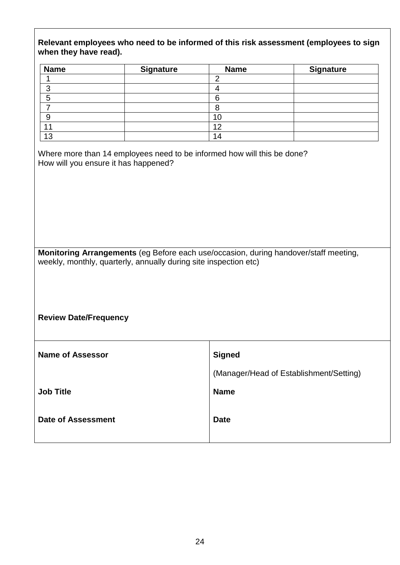| Relevant employees who need to be informed of this risk assessment (employees to sign |  |
|---------------------------------------------------------------------------------------|--|
| when they have read).                                                                 |  |

| <b>Name</b> | <b>Signature</b> | <b>Name</b> | <b>Signature</b> |
|-------------|------------------|-------------|------------------|
|             |                  | ┍           |                  |
| ◠           |                  |             |                  |
| 5           |                  | ิค          |                  |
|             |                  |             |                  |
| C           |                  | 10          |                  |
| 11          |                  | 12          |                  |
| 13          |                  | 14          |                  |

Where more than 14 employees need to be informed how will this be done? How will you ensure it has happened?

**Monitoring Arrangements** (eg Before each use/occasion, during handover/staff meeting, weekly, monthly, quarterly, annually during site inspection etc)

**Review Date/Frequency** 

| <b>Name of Assessor</b>   | <b>Signed</b>                           |
|---------------------------|-----------------------------------------|
|                           | (Manager/Head of Establishment/Setting) |
| <b>Job Title</b>          | <b>Name</b>                             |
| <b>Date of Assessment</b> | <b>Date</b>                             |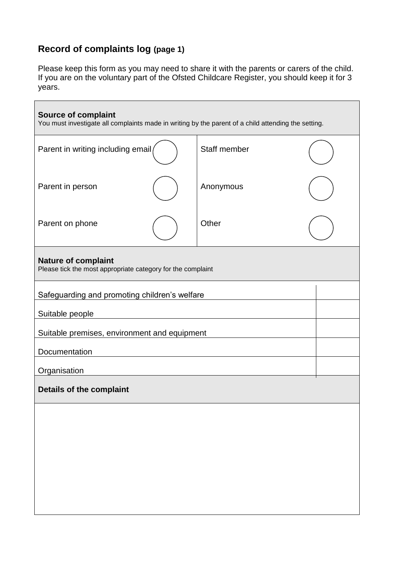# <span id="page-24-0"></span>**Record of complaints log (page 1)**

Please keep this form as you may need to share it with the parents or carers of the child. If you are on the voluntary part of the Ofsted Childcare Register, you should keep it for 3 years.

| <b>Source of complaint</b><br>You must investigate all complaints made in writing by the parent of a child attending the setting. |  |              |  |  |
|-----------------------------------------------------------------------------------------------------------------------------------|--|--------------|--|--|
| Parent in writing including email                                                                                                 |  | Staff member |  |  |
| Parent in person                                                                                                                  |  | Anonymous    |  |  |
| Parent on phone                                                                                                                   |  | Other        |  |  |
| <b>Nature of complaint</b><br>Please tick the most appropriate category for the complaint                                         |  |              |  |  |
| Safeguarding and promoting children's welfare                                                                                     |  |              |  |  |
| Suitable people                                                                                                                   |  |              |  |  |
| Suitable premises, environment and equipment                                                                                      |  |              |  |  |
| Documentation                                                                                                                     |  |              |  |  |
| Organisation                                                                                                                      |  |              |  |  |
| Details of the complaint                                                                                                          |  |              |  |  |
|                                                                                                                                   |  |              |  |  |
|                                                                                                                                   |  |              |  |  |
|                                                                                                                                   |  |              |  |  |
|                                                                                                                                   |  |              |  |  |
|                                                                                                                                   |  |              |  |  |
|                                                                                                                                   |  |              |  |  |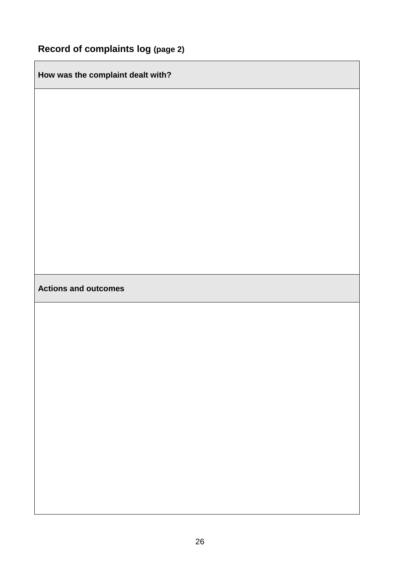**How was the complaint dealt with?**

# **Actions and outcomes**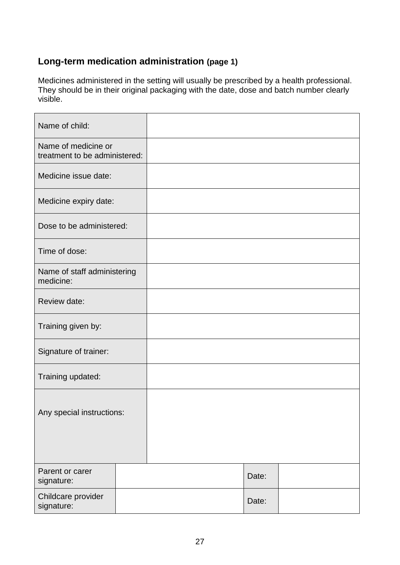# <span id="page-26-0"></span>**Long-term medication administration (page 1)**

Medicines administered in the setting will usually be prescribed by a health professional. They should be in their original packaging with the date, dose and batch number clearly visible.

| Name of child:                                       |  |       |  |
|------------------------------------------------------|--|-------|--|
| Name of medicine or<br>treatment to be administered: |  |       |  |
| Medicine issue date:                                 |  |       |  |
| Medicine expiry date:                                |  |       |  |
| Dose to be administered:                             |  |       |  |
| Time of dose:                                        |  |       |  |
| Name of staff administering<br>medicine:             |  |       |  |
| Review date:                                         |  |       |  |
| Training given by:                                   |  |       |  |
| Signature of trainer:                                |  |       |  |
| Training updated:                                    |  |       |  |
| Any special instructions:                            |  |       |  |
| Parent or carer<br>signature:                        |  | Date: |  |
| Childcare provider<br>signature:                     |  | Date: |  |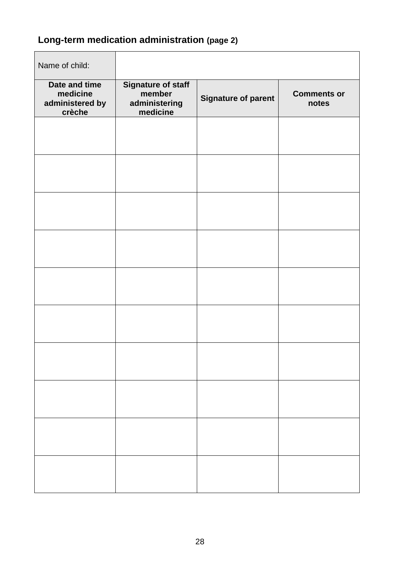# **Long-term medication administration (page 2)**

| Name of child:                                         |                                                                  |                            |                             |
|--------------------------------------------------------|------------------------------------------------------------------|----------------------------|-----------------------------|
| Date and time<br>medicine<br>administered by<br>crèche | <b>Signature of staff</b><br>member<br>administering<br>medicine | <b>Signature of parent</b> | <b>Comments or</b><br>notes |
|                                                        |                                                                  |                            |                             |
|                                                        |                                                                  |                            |                             |
|                                                        |                                                                  |                            |                             |
|                                                        |                                                                  |                            |                             |
|                                                        |                                                                  |                            |                             |
|                                                        |                                                                  |                            |                             |
|                                                        |                                                                  |                            |                             |
|                                                        |                                                                  |                            |                             |
|                                                        |                                                                  |                            |                             |
|                                                        |                                                                  |                            |                             |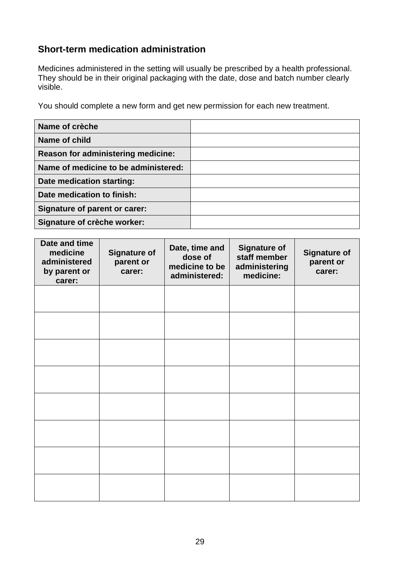# <span id="page-28-0"></span>**Short-term medication administration**

Medicines administered in the setting will usually be prescribed by a health professional. They should be in their original packaging with the date, dose and batch number clearly visible.

You should complete a new form and get new permission for each new treatment.

| Name of crèche                       |  |
|--------------------------------------|--|
| Name of child                        |  |
| Reason for administering medicine:   |  |
| Name of medicine to be administered: |  |
| Date medication starting:            |  |
| Date medication to finish:           |  |
| <b>Signature of parent or carer:</b> |  |
| Signature of crèche worker:          |  |

| Date and time<br>medicine<br>administered<br>by parent or<br>carer: | <b>Signature of</b><br>parent or<br>carer: | Date, time and<br>dose of<br>medicine to be<br>administered: | <b>Signature of</b><br>staff member<br>administering<br>medicine: | <b>Signature of</b><br>parent or<br>carer: |
|---------------------------------------------------------------------|--------------------------------------------|--------------------------------------------------------------|-------------------------------------------------------------------|--------------------------------------------|
|                                                                     |                                            |                                                              |                                                                   |                                            |
|                                                                     |                                            |                                                              |                                                                   |                                            |
|                                                                     |                                            |                                                              |                                                                   |                                            |
|                                                                     |                                            |                                                              |                                                                   |                                            |
|                                                                     |                                            |                                                              |                                                                   |                                            |
|                                                                     |                                            |                                                              |                                                                   |                                            |
|                                                                     |                                            |                                                              |                                                                   |                                            |
|                                                                     |                                            |                                                              |                                                                   |                                            |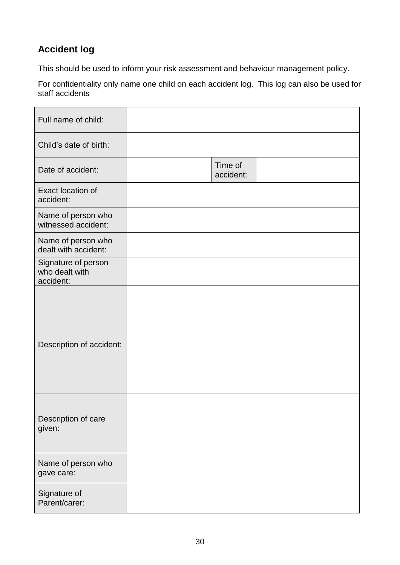# <span id="page-29-0"></span>**Accident log**

This should be used to inform your risk assessment and behaviour management policy.

For confidentiality only name one child on each accident log. This log can also be used for staff accidents

| Full name of child:                                |                      |  |
|----------------------------------------------------|----------------------|--|
| Child's date of birth:                             |                      |  |
| Date of accident:                                  | Time of<br>accident: |  |
| Exact location of<br>accident:                     |                      |  |
| Name of person who<br>witnessed accident:          |                      |  |
| Name of person who<br>dealt with accident:         |                      |  |
| Signature of person<br>who dealt with<br>accident: |                      |  |
| Description of accident:                           |                      |  |
| Description of care<br>given:                      |                      |  |
| Name of person who<br>gave care:                   |                      |  |
| Signature of<br>Parent/carer:                      |                      |  |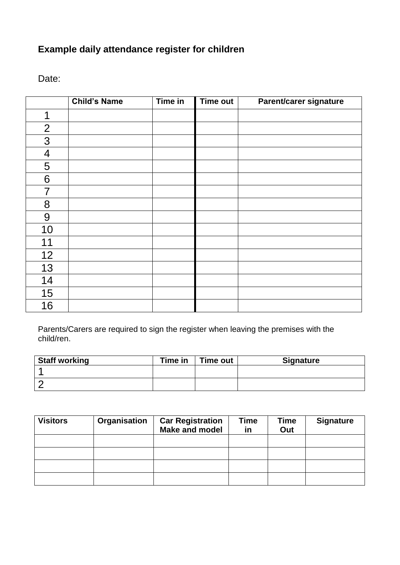# **Example daily attendance register for children**

Date:

|                | <b>Child's Name</b> | Time in | <b>Time out</b> | Parent/carer signature |
|----------------|---------------------|---------|-----------------|------------------------|
| 1              |                     |         |                 |                        |
| $\overline{2}$ |                     |         |                 |                        |
| 3              |                     |         |                 |                        |
| $\overline{4}$ |                     |         |                 |                        |
| 5              |                     |         |                 |                        |
| 6              |                     |         |                 |                        |
| $\overline{7}$ |                     |         |                 |                        |
| 8              |                     |         |                 |                        |
| $9$            |                     |         |                 |                        |
| 10             |                     |         |                 |                        |
| 11             |                     |         |                 |                        |
| 12             |                     |         |                 |                        |
| 13             |                     |         |                 |                        |
| 14             |                     |         |                 |                        |
| 15             |                     |         |                 |                        |
| 16             |                     |         |                 |                        |

Parents/Carers are required to sign the register when leaving the premises with the child/ren.

| <b>Staff working</b> | Time in | <b>Time out</b> | <b>Signature</b> |
|----------------------|---------|-----------------|------------------|
|                      |         |                 |                  |
|                      |         |                 |                  |

| <b>Visitors</b> | Organisation | <b>Car Registration</b><br>Make and model | <b>Time</b><br>in | <b>Time</b><br>Out | <b>Signature</b> |
|-----------------|--------------|-------------------------------------------|-------------------|--------------------|------------------|
|                 |              |                                           |                   |                    |                  |
|                 |              |                                           |                   |                    |                  |
|                 |              |                                           |                   |                    |                  |
|                 |              |                                           |                   |                    |                  |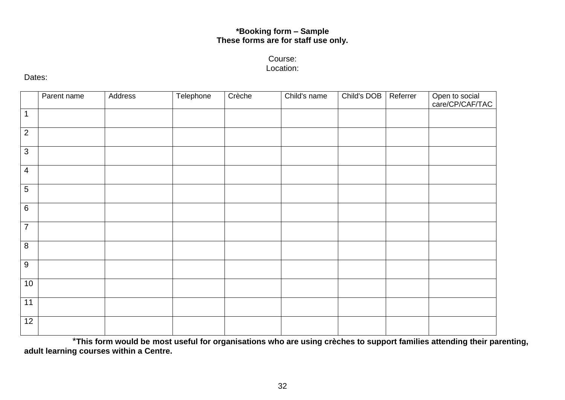## **\*Booking form – Sample These forms are for staff use only.**

## Course: Location:

#### Dates:

|                 | Parent name | Address | Telephone | Crèche | Child's name | Child's DOB | Referrer | Open to social<br>care/CP/CAF/TAC |
|-----------------|-------------|---------|-----------|--------|--------------|-------------|----------|-----------------------------------|
| $\mathbf{1}$    |             |         |           |        |              |             |          |                                   |
| $\overline{2}$  |             |         |           |        |              |             |          |                                   |
| $\mathbf{3}$    |             |         |           |        |              |             |          |                                   |
| $\overline{4}$  |             |         |           |        |              |             |          |                                   |
| $5\phantom{.0}$ |             |         |           |        |              |             |          |                                   |
| $\,6\,$         |             |         |           |        |              |             |          |                                   |
| $\overline{7}$  |             |         |           |        |              |             |          |                                   |
| $\,8\,$         |             |         |           |        |              |             |          |                                   |
| $9\,$           |             |         |           |        |              |             |          |                                   |
| 10              |             |         |           |        |              |             |          |                                   |
| 11              |             |         |           |        |              |             |          |                                   |
| 12              |             |         |           |        |              |             |          |                                   |

\***This form would be most useful for organisations who are using crèches to support families attending their parenting, adult learning courses within a Centre.**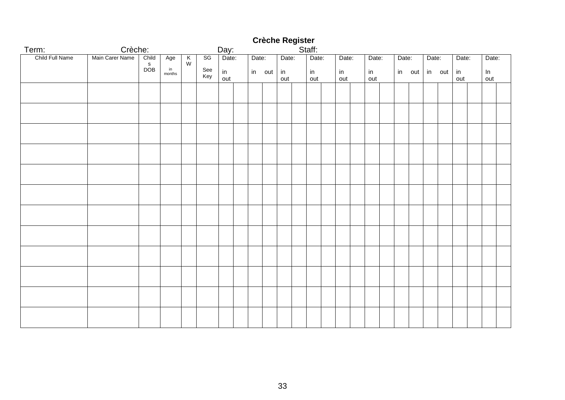#### Term: Crèche: Day: Staff: Child Full Name | Main Carer Name | Child s DOB Age in months K W SG See Key Date: in out Date: in out Date: in out Date: in out Date: in out Date: in out Date: in out Date: in out in Date: out Date: In out